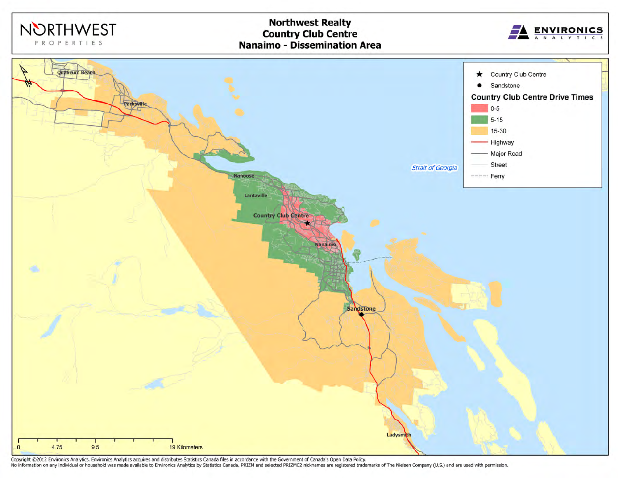

Copyright ©2012 Environics Analytics. Environics Analytics acquires and distributes Statistics Canada files in accordance with the Government of Canada's Open Data Policy.<br>No information on any individual or household was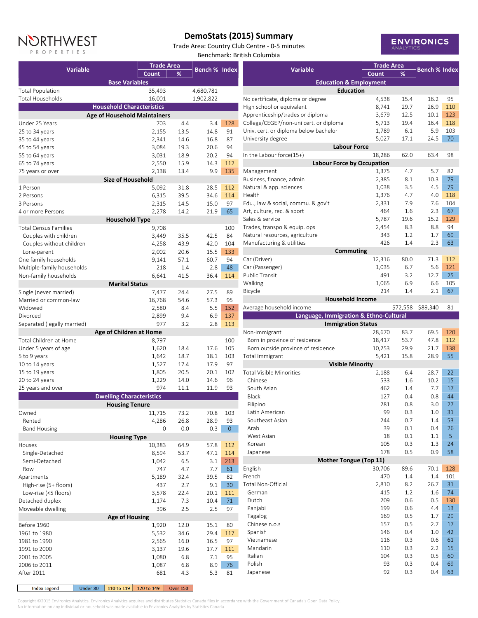

## **DemoStats (2015) Summary**

Trade Area: Country Club Centre - 0-5 minutes Benchmark: British Columbia



|                                                    | <b>Trade Area</b> |      |                        |     |
|----------------------------------------------------|-------------------|------|------------------------|-----|
| <b>Variable</b>                                    | Count             | %    | <b>Bench % Index</b>   |     |
| <b>Base Variables</b>                              |                   |      |                        |     |
|                                                    | 35,493            |      |                        |     |
| <b>Total Population</b><br><b>Total Households</b> | 16,001            |      | 4,680,781<br>1,902,822 |     |
| <b>Household Characteristics</b>                   |                   |      |                        |     |
| <b>Age of Household Maintainers</b>                |                   |      |                        |     |
| Under 25 Years                                     | 703               | 4.4  | 3.4                    | 128 |
| 25 to 34 years                                     | 2,155             | 13.5 | 14.8                   | 91  |
| 35 to 44 years                                     | 2,341             | 14.6 | 16.8                   | 87  |
| 45 to 54 years                                     | 3,084             | 19.3 | 20.6                   | 94  |
| 55 to 64 years                                     | 3,031             | 18.9 | 20.2                   | 94  |
| 65 to 74 years                                     | 2,550             | 15.9 | 14.3                   | 112 |
| 75 years or over                                   | 2,138             | 13.4 | 9.9                    | 135 |
| <b>Size of Household</b>                           |                   |      |                        |     |
| 1 Person                                           | 5,092             | 31.8 | 28.5                   | 112 |
| 2 Persons                                          | 6,315             | 39.5 | 34.6                   | 114 |
| 3 Persons                                          | 2,315             | 14.5 | 15.0                   | 97  |
| 4 or more Persons                                  | 2,278             | 14.2 | 21.9                   | 65  |
| <b>Household Type</b>                              |                   |      |                        |     |
| <b>Total Census Families</b>                       | 9,708             |      |                        | 100 |
| Couples with children                              | 3,449             | 35.5 | 42.5                   | 84  |
| Couples without children                           | 4,258             | 43.9 | 42.0                   | 104 |
| Lone-parent                                        | 2,002             | 20.6 | 15.5                   | 133 |
| One family households                              | 9,141             | 57.1 | 60.7                   | 94  |
| Multiple-family households                         | 218               | 1.4  | 2.8                    | 48  |
| Non-family households                              | 6,641             | 41.5 | 36.4                   | 114 |
| <b>Marital Status</b>                              |                   |      |                        |     |
| Single (never married)                             | 7,477             | 24.4 | 27.5                   | 89  |
| Married or common-law                              | 16,768            | 54.6 | 57.3                   | 95  |
| Widowed                                            | 2,580             | 8.4  | 5.5                    | 152 |
| Divorced                                           | 2,899             | 9.4  | 6.9                    | 137 |
| Separated (legally married)                        | 977               | 3.2  | 2.8                    | 113 |
| Age of Children at Home                            |                   |      |                        |     |
| Total Children at Home                             | 8,797             |      |                        | 100 |
| Under 5 years of age                               | 1,620             | 18.4 | 17.6                   | 105 |
| 5 to 9 years                                       | 1,642             | 18.7 | 18.1                   | 103 |
| 10 to 14 years                                     | 1,527             | 17.4 | 17.9                   | 97  |
| 15 to 19 years                                     | 1,805             | 20.5 | 20.1                   | 102 |
| 20 to 24 years                                     | 1,229             | 14.0 | 14.6                   | 96  |
| 25 years and over                                  | 974               | 11.1 | 11.9                   | 93  |
| <b>Dwelling Characteristics</b>                    |                   |      |                        |     |
| <b>Housing Tenure</b>                              |                   |      |                        |     |
| Owned                                              | 11,715            | 73.2 | 70.8                   | 103 |
| Rented                                             | 4,286             | 26.8 | 28.9                   | 93  |
| <b>Band Housing</b>                                | 0                 | 0.0  | 0.3                    | 0   |
| <b>Housing Type</b>                                |                   |      |                        |     |
| Houses                                             | 10,383            | 64.9 | 57.8                   | 112 |
| Single-Detached                                    | 8,594             | 53.7 | 47.1                   | 114 |
| Semi-Detached                                      | 1,042             | 6.5  | 3.1                    | 213 |
| Row                                                | 747               | 4.7  | 7.7                    | 61  |
| Apartments                                         | 5,189             | 32.4 | 39.5                   | 82  |
| High-rise (5+ floors)                              | 437               | 2.7  | 9.1                    | 30  |
| Low-rise (<5 floors)                               | 3,578             | 22.4 | 20.1                   | 111 |
| Detached duplex                                    | 1,174             | 7.3  | 10.4                   | 71  |
| Moveable dwelling                                  | 396               | 2.5  | 2.5                    | 97  |
| <b>Age of Housing</b>                              |                   |      |                        |     |
| Before 1960                                        | 1,920             | 12.0 | 15.1                   | 80  |
| 1961 to 1980                                       | 5,532             | 34.6 | 29.4                   | 117 |
| 1981 to 1990                                       | 2,565             | 16.0 | 16.5                   | 97  |
| 1991 to 2000                                       | 3,137             | 19.6 | 17.7                   | 111 |
| 2001 to 2005                                       | 1,080             | 6.8  | 7.1                    | 95  |
| 2006 to 2011                                       | 1,087             | 6.8  | 8.9                    | 76  |
| After 2011                                         | 681               | 4.3  | 5.3                    | 81  |
|                                                    |                   |      |                        |     |

|                                        | <b>Trade Area</b> |            |                      |          |
|----------------------------------------|-------------------|------------|----------------------|----------|
| <b>Variable</b>                        | Count             | ℅          | <b>Bench % Index</b> |          |
| <b>Education &amp; Employment</b>      |                   |            |                      |          |
| <b>Education</b>                       |                   |            |                      |          |
| No certificate, diploma or degree      | 4,538             | 15.4       | 16.2                 | 95       |
| High school or equivalent              | 8,741             | 29.7       | 26.9                 | 110      |
| Apprenticeship/trades or diploma       | 3,679             | 12.5       | 10.1                 | 123      |
| College/CEGEP/non-uni cert. or diploma | 5,713             | 19.4       | 16.4                 | 118      |
| Univ. cert. or diploma below bachelor  | 1,789             | 6.1        | 5.9                  | 103      |
| University degree                      | 5,027             | 17.1       | 24.5                 | 70       |
| <b>Labour Force</b>                    |                   |            |                      |          |
| In the Labour force(15+)               | 18,286            | 62.0       | 63.4                 | 98       |
| <b>Labour Force by Occupation</b>      |                   |            |                      |          |
| Management<br>Business, finance, admin | 1,375             | 4.7<br>8.1 | 5.7<br>10.3          | 82<br>79 |
| Natural & app. sciences                | 2,385<br>1,038    | 3.5        | 4.5                  | 79       |
| Health                                 | 1,376             | 4.7        | 4.0                  | 118      |
| Edu., law & social, commu. & gov't     | 2,331             | 7.9        | 7.6                  | 104      |
| Art, culture, rec. & sport             | 464               | 1.6        | 2.3                  | 67       |
| Sales & service                        | 5,787             | 19.6       | 15.2                 | 129      |
| Trades, transpo & equip. ops           | 2,454             | 8.3        | 8.8                  | 94       |
| Natural resources, agriculture         | 343               | 1.2        | 1.7                  | 69       |
| Manufacturing & utilities              | 426               | 1.4        | 2.3                  | 63       |
| <b>Commuting</b>                       |                   |            |                      |          |
| Car (Driver)                           | 12,316            | 80.0       | 71.3                 | 112      |
| Car (Passenger)                        | 1,035             | 6.7        | 5.6                  | 121      |
| <b>Public Transit</b>                  | 491               | 3.2        | 12.7                 | 25       |
| Walking                                | 1,065             | 6.9        | 6.6                  | 105      |
| Bicycle                                | 214               | 1.4        | 2.1                  | 67       |
| <b>Household Income</b>                |                   |            |                      |          |
| Average household income               |                   | \$72,558   | \$89,340             | 81       |
| Language, Immigration & Ethno-Cultural |                   |            |                      |          |
| <b>Immigration Status</b>              |                   |            |                      |          |
| Non-immigrant                          | 28,670            | 83.7       | 69.5                 | 120      |
| Born in province of residence          | 18,417            | 53.7       | 47.8                 | 112      |
| Born outside province of residence     | 10,253            | 29.9       | 21.7                 | 138      |
| Total Immigrant                        | 5,421             | 15.8       | 28.9                 | 55       |
| <b>Visible Minority</b>                |                   |            |                      |          |
| <b>Total Visible Minorities</b>        | 2,188             | 6.4        | 28.7                 | 22       |
| Chinese                                | 533               | 1.6        | 10.2                 | 15       |
| South Asian                            | 462               | 1.4        | 7.7                  | 17       |
| Black                                  | 127               | 0.4        | 0.8                  | 44       |
| Filipino                               | 281               | 0.8        | 3.0                  | 27       |
| Latin American                         | 99                | 0.3        | $1.0\,$              | 31       |
| Southeast Asian<br>Arab                | 244               | 0.7        | 1.4                  | 53       |
|                                        | 39                | 0.1        | 0.4                  | 26       |
| West Asian<br>Korean                   | 18<br>105         | 0.1<br>0.3 | 1.1<br>1.3           | 5<br>24  |
| Japanese                               | 178               | 0.5        | 0.9                  | 58       |
| <b>Mother Tongue (Top 11)</b>          |                   |            |                      |          |
| English                                | 30,706            | 89.6       | 70.1                 | 128      |
| French                                 | 470               | 1.4        | 1.4                  | 101      |
| Total Non-Official                     | 2,810             | 8.2        | 26.7                 | 31       |
| German                                 | 415               | 1.2        | 1.6                  | 74       |
| Dutch                                  | 209               | 0.6        | 0.5                  | 130      |
| Panjabi                                | 199               | 0.6        | 4.4                  | 13       |
| Tagalog                                | 169               | 0.5        | 1.7                  | 29       |
| Chinese n.o.s                          | 157               | 0.5        | 2.7                  | 17       |
| Spanish                                | 146               | 0.4        | 1.0                  | 42       |
| Vietnamese                             | 116               | 0.3        | 0.6                  | 61       |
| Mandarin                               | 110               | 0.3        | 2.2                  | 15       |
| Italian                                | 104               | 0.3        | 0.5                  | 60       |
| Polish                                 | 93                | 0.3        | 0.4                  | 69       |
| Japanese                               | 92                | 0.3        | 0.4                  | 63       |
|                                        |                   |            |                      |          |

Under 80 | 110 to 119 | 120 to 149 | Over 150 | **Index Legend** 

Copyright ©2015 Environics Analytics. Environics Analytics acquires and distributes Statistics Canada files in accordance with the Government of Canada's Open Data Policy.

No information on any individual or household was made available to Environics Analytics by Statistics Canada.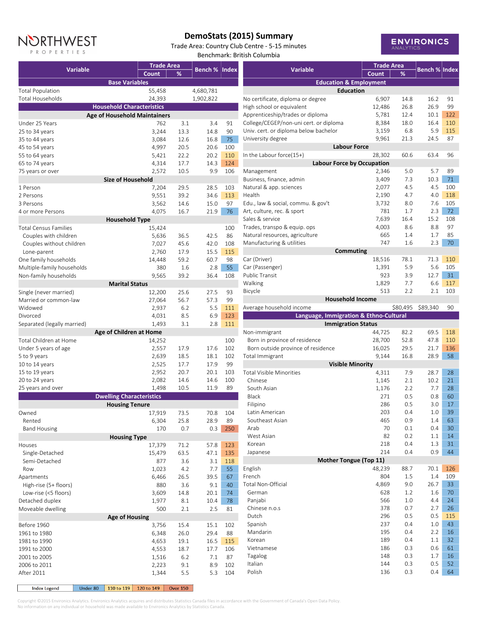

## **DemoStats (2015) Summary**

Trade Area: Country Club Centre - 5-15 minutes Benchmark: British Columbia



|                                                       | <b>Trade Area</b> |      |                      |            |  |
|-------------------------------------------------------|-------------------|------|----------------------|------------|--|
| <b>Variable</b>                                       | Count             | ℅    | <b>Bench % Index</b> |            |  |
| <b>Base Variables</b>                                 |                   |      |                      |            |  |
| <b>Total Population</b>                               | 55,458            |      | 4,680,781            |            |  |
| Total Households                                      | 24,393            |      | 1,902,822            |            |  |
| <b>Household Characteristics</b>                      |                   |      |                      |            |  |
| <b>Age of Household Maintainers</b>                   |                   |      |                      |            |  |
| Under 25 Years                                        | 762               | 3.1  | 3.4                  | 91         |  |
| 25 to 34 years                                        | 3,244             | 13.3 | 14.8                 | 90         |  |
| 35 to 44 years                                        | 3,084             | 12.6 | 16.8                 | 75         |  |
| 45 to 54 years                                        | 4,997             | 20.5 | 20.6                 | 100        |  |
| 55 to 64 years                                        | 5,421             | 22.2 | 20.2                 | 110        |  |
| 65 to 74 years                                        | 4,314             | 17.7 | 14.3                 | 124        |  |
| 75 years or over                                      | 2,572             | 10.5 | 9.9                  | 106        |  |
| <b>Size of Household</b>                              |                   |      |                      |            |  |
| 1 Person                                              | 7,204             | 29.5 | 28.5                 | 103        |  |
| 2 Persons                                             | 9,551             | 39.2 | 34.6                 | 113        |  |
| 3 Persons                                             | 3,562             | 14.6 | 15.0                 | 97         |  |
| 4 or more Persons                                     | 4,075             | 16.7 | 21.9                 | 76         |  |
| <b>Household Type</b><br><b>Total Census Families</b> |                   |      |                      |            |  |
| Couples with children                                 | 15,424            | 36.5 | 42.5                 | 100<br>86  |  |
| Couples without children                              | 5,636             | 45.6 | 42.0                 | 108        |  |
| Lone-parent                                           | 7,027<br>2,760    | 17.9 | 15.5                 | 115        |  |
| One family households                                 | 14,448            | 59.2 | 60.7                 | 98         |  |
| Multiple-family households                            | 380               | 1.6  | 2.8                  | 55         |  |
| Non-family households                                 | 9,565             | 39.2 | 36.4                 | 108        |  |
| <b>Marital Status</b>                                 |                   |      |                      |            |  |
| Single (never married)                                | 12,200            | 25.6 | 27.5                 | 93         |  |
| Married or common-law                                 | 27,064            | 56.7 | 57.3                 | 99         |  |
| Widowed                                               | 2,937             | 6.2  | 5.5                  | 111        |  |
| Divorced                                              | 4,031             | 8.5  | 6.9                  | 123        |  |
| Separated (legally married)                           | 1,493             | 3.1  | 2.8                  | 111        |  |
| Age of Children at Home                               |                   |      |                      |            |  |
| Total Children at Home                                | 14,252            |      |                      | 100        |  |
| Under 5 years of age                                  | 2,557             | 17.9 | 17.6                 | 102        |  |
| 5 to 9 years                                          | 2,639             | 18.5 | 18.1                 | 102        |  |
| 10 to 14 years                                        | 2,525             | 17.7 | 17.9                 | 99         |  |
| 15 to 19 years                                        | 2,952             | 20.7 | 20.1                 | 103        |  |
| 20 to 24 years                                        | 2,082             | 14.6 | 14.6                 | 100        |  |
| 25 years and over                                     | 1,498             | 10.5 | 11.9                 | 89         |  |
| <b>Dwelling Characteristics</b>                       |                   |      |                      |            |  |
| <b>Housing Tenure</b>                                 |                   |      |                      |            |  |
| Owned                                                 | 17,919            | 73.5 | 70.8                 | 104        |  |
| Rented                                                | 6,304             | 25.8 | 28.9                 | 89         |  |
| <b>Band Housing</b><br><b>Housing Type</b>            | 170               | 0.7  | 0.3                  | 250        |  |
|                                                       |                   | 71.2 |                      |            |  |
| Houses<br>Single-Detached                             | 17,379<br>15,479  | 63.5 | 57.8<br>47.1         | 123<br>135 |  |
| Semi-Detached                                         | 877               | 3.6  | 3.1                  | 118        |  |
| Row                                                   | 1,023             | 4.2  | 7.7                  | 55         |  |
| Apartments                                            | 6,466             | 26.5 | 39.5                 | 67         |  |
| High-rise (5+ floors)                                 | 880               | 3.6  | 9.1                  | 40         |  |
| Low-rise (<5 floors)                                  | 3,609             | 14.8 | 20.1                 | 74         |  |
| Detached duplex                                       | 1,977             | 8.1  | 10.4                 | 78         |  |
| Moveable dwelling                                     | 500               | 2.1  | 2.5                  | 81         |  |
| <b>Age of Housing</b>                                 |                   |      |                      |            |  |
| Before 1960                                           | 3,756             | 15.4 | 15.1                 | 102        |  |
| 1961 to 1980                                          | 6,348             | 26.0 | 29.4                 | 88         |  |
| 1981 to 1990                                          | 4,653             | 19.1 | 16.5                 | 115        |  |
| 1991 to 2000                                          | 4,553             | 18.7 | 17.7                 | 106        |  |
| 2001 to 2005                                          | 1,516             | 6.2  | 7.1                  | 87         |  |
| 2006 to 2011                                          | 2,223             | 9.1  | 8.9                  | 102        |  |
| After 2011                                            | 1,344             | 5.5  | 5.3                  | 104        |  |

| <b>Bench % Index</b><br><b>Count</b><br>%<br><b>Education &amp; Employment</b><br><b>Education</b><br>6,907<br>14.8<br>16.2<br>91<br>High school or equivalent<br>99<br>12,486<br>26.8<br>26.9<br>Apprenticeship/trades or diploma<br>122<br>5,781<br>12.4<br>10.1<br>College/CEGEP/non-uni cert. or diploma<br>8,384<br>110<br>18.0<br>16.4<br>Univ. cert. or diploma below bachelor<br>6.8<br>5.9<br>115<br>3,159<br>University degree<br>21.3<br>24.5<br>9,961<br>87<br><b>Labour Force</b><br>In the Labour force(15+)<br>28,302<br>60.6<br>63.4<br>96<br><b>Labour Force by Occupation</b><br>Management<br>2,346<br>5.0<br>5.7<br>89<br>Business, finance, admin<br>7.3<br>71<br>3,409<br>10.3<br>4.5<br>Natural & app. sciences<br>2,077<br>4.5<br>100<br>4.7<br>118<br>Health<br>2,190<br>4.0<br>Edu., law & social, commu. & gov't<br>3,732<br>8.0<br>7.6<br>105<br>72<br>Art, culture, rec. & sport<br>781<br>1.7<br>2.3<br>Sales & service<br>7,639<br>15.2<br>108<br>16.4<br>97<br>Trades, transpo & equip. ops<br>4,003<br>8.6<br>8.8<br>Natural resources, agriculture<br>85<br>665<br>1.4<br>1.7<br>747<br>1.6<br>2.3<br>Manufacturing & utilities<br>70<br><b>Commuting</b><br>Car (Driver)<br>18,516<br>78.1<br>71.3<br>110<br>Car (Passenger)<br>5.9<br>5.6<br>1,391<br>105<br><b>Public Transit</b><br>923<br>3.9<br>12.7<br>31<br>1,829<br>7.7<br>Walking<br>6.6<br>117<br>Bicycle<br>513<br>2.2<br>2.1<br>103<br><b>Household Income</b><br>Average household income<br>\$80,495<br>\$89,340<br>90<br>Language, Immigration & Ethno-Cultural<br><b>Immigration Status</b><br>Non-immigrant<br>44,725<br>82.2<br>69.5<br>118<br>Born in province of residence<br>28,700<br>52.8<br>47.8<br>110<br>Born outside province of residence<br>21.7<br>16,025<br>29.5<br>136<br>58<br>Total Immigrant<br>9,144<br>16.8<br>28.9<br><b>Visible Minority</b><br>4,311<br>7.9<br>28.7<br>28<br>21<br>Chinese<br>1,145<br>2.1<br>10.2<br>South Asian<br>1,176<br>2.2<br>7.7<br>28<br>271<br>Black<br>0.5<br>0.8<br>60<br>0.5<br>17<br>Filipino<br>286<br>3.0<br>1.0<br>39<br>203<br>0.4<br>Latin American<br>Southeast Asian<br>465<br>0.9<br>1.4<br>63<br>70<br>Arab<br>0.1<br>0.4<br>30<br>West Asian<br>82<br>0.2<br>$1.1\,$<br>14<br>218<br>1.3<br>31<br>Korean<br>0.4<br>44<br>214<br>0.4<br>0.9<br>Japanese<br><b>Mother Tongue (Top 11)</b><br>English<br>48,239<br>88.7<br>70.1<br>126<br>804<br>1.5<br>1.4<br>109<br>4,869<br>9.0<br>26.7<br>33<br>1.2<br>1.6<br>70<br>German<br>628<br>Panjabi<br>566<br>1.0<br>4.4<br>24<br>Chinese n.o.s<br>378<br>0.7<br>2.7<br>26<br>Dutch<br>296<br>0.5<br>0.5<br>115<br>Spanish<br>237<br>43<br>0.4<br>1.0<br>Mandarin<br>195<br>0.4<br>16<br>2.2<br>189<br>0.4<br>1.1<br>32<br>Korean<br>Vietnamese<br>186<br>0.6<br>61<br>0.3<br>Tagalog<br>148<br>16<br>0.3<br>1.7<br>Italian<br>144<br>0.3<br>0.5<br>52<br>Polish<br>0.3<br>0.4<br>64<br>136 |                                   | <b>Trade Area</b> |  |  |  |
|----------------------------------------------------------------------------------------------------------------------------------------------------------------------------------------------------------------------------------------------------------------------------------------------------------------------------------------------------------------------------------------------------------------------------------------------------------------------------------------------------------------------------------------------------------------------------------------------------------------------------------------------------------------------------------------------------------------------------------------------------------------------------------------------------------------------------------------------------------------------------------------------------------------------------------------------------------------------------------------------------------------------------------------------------------------------------------------------------------------------------------------------------------------------------------------------------------------------------------------------------------------------------------------------------------------------------------------------------------------------------------------------------------------------------------------------------------------------------------------------------------------------------------------------------------------------------------------------------------------------------------------------------------------------------------------------------------------------------------------------------------------------------------------------------------------------------------------------------------------------------------------------------------------------------------------------------------------------------------------------------------------------------------------------------------------------------------------------------------------------------------------------------------------------------------------------------------------------------------------------------------------------------------------------------------------------------------------------------------------------------------------------------------------------------------------------------------------------------------------------------------------------------------------------------------------------------------------------------------------------------------------------------------------------------------------------------------------------------------------------------------------------------------------------------------------------------------------------------------------------------------------------------------|-----------------------------------|-------------------|--|--|--|
|                                                                                                                                                                                                                                                                                                                                                                                                                                                                                                                                                                                                                                                                                                                                                                                                                                                                                                                                                                                                                                                                                                                                                                                                                                                                                                                                                                                                                                                                                                                                                                                                                                                                                                                                                                                                                                                                                                                                                                                                                                                                                                                                                                                                                                                                                                                                                                                                                                                                                                                                                                                                                                                                                                                                                                                                                                                                                                          | <b>Variable</b>                   |                   |  |  |  |
|                                                                                                                                                                                                                                                                                                                                                                                                                                                                                                                                                                                                                                                                                                                                                                                                                                                                                                                                                                                                                                                                                                                                                                                                                                                                                                                                                                                                                                                                                                                                                                                                                                                                                                                                                                                                                                                                                                                                                                                                                                                                                                                                                                                                                                                                                                                                                                                                                                                                                                                                                                                                                                                                                                                                                                                                                                                                                                          |                                   |                   |  |  |  |
|                                                                                                                                                                                                                                                                                                                                                                                                                                                                                                                                                                                                                                                                                                                                                                                                                                                                                                                                                                                                                                                                                                                                                                                                                                                                                                                                                                                                                                                                                                                                                                                                                                                                                                                                                                                                                                                                                                                                                                                                                                                                                                                                                                                                                                                                                                                                                                                                                                                                                                                                                                                                                                                                                                                                                                                                                                                                                                          |                                   |                   |  |  |  |
|                                                                                                                                                                                                                                                                                                                                                                                                                                                                                                                                                                                                                                                                                                                                                                                                                                                                                                                                                                                                                                                                                                                                                                                                                                                                                                                                                                                                                                                                                                                                                                                                                                                                                                                                                                                                                                                                                                                                                                                                                                                                                                                                                                                                                                                                                                                                                                                                                                                                                                                                                                                                                                                                                                                                                                                                                                                                                                          | No certificate, diploma or degree |                   |  |  |  |
|                                                                                                                                                                                                                                                                                                                                                                                                                                                                                                                                                                                                                                                                                                                                                                                                                                                                                                                                                                                                                                                                                                                                                                                                                                                                                                                                                                                                                                                                                                                                                                                                                                                                                                                                                                                                                                                                                                                                                                                                                                                                                                                                                                                                                                                                                                                                                                                                                                                                                                                                                                                                                                                                                                                                                                                                                                                                                                          |                                   |                   |  |  |  |
|                                                                                                                                                                                                                                                                                                                                                                                                                                                                                                                                                                                                                                                                                                                                                                                                                                                                                                                                                                                                                                                                                                                                                                                                                                                                                                                                                                                                                                                                                                                                                                                                                                                                                                                                                                                                                                                                                                                                                                                                                                                                                                                                                                                                                                                                                                                                                                                                                                                                                                                                                                                                                                                                                                                                                                                                                                                                                                          |                                   |                   |  |  |  |
|                                                                                                                                                                                                                                                                                                                                                                                                                                                                                                                                                                                                                                                                                                                                                                                                                                                                                                                                                                                                                                                                                                                                                                                                                                                                                                                                                                                                                                                                                                                                                                                                                                                                                                                                                                                                                                                                                                                                                                                                                                                                                                                                                                                                                                                                                                                                                                                                                                                                                                                                                                                                                                                                                                                                                                                                                                                                                                          |                                   |                   |  |  |  |
|                                                                                                                                                                                                                                                                                                                                                                                                                                                                                                                                                                                                                                                                                                                                                                                                                                                                                                                                                                                                                                                                                                                                                                                                                                                                                                                                                                                                                                                                                                                                                                                                                                                                                                                                                                                                                                                                                                                                                                                                                                                                                                                                                                                                                                                                                                                                                                                                                                                                                                                                                                                                                                                                                                                                                                                                                                                                                                          |                                   |                   |  |  |  |
|                                                                                                                                                                                                                                                                                                                                                                                                                                                                                                                                                                                                                                                                                                                                                                                                                                                                                                                                                                                                                                                                                                                                                                                                                                                                                                                                                                                                                                                                                                                                                                                                                                                                                                                                                                                                                                                                                                                                                                                                                                                                                                                                                                                                                                                                                                                                                                                                                                                                                                                                                                                                                                                                                                                                                                                                                                                                                                          |                                   |                   |  |  |  |
|                                                                                                                                                                                                                                                                                                                                                                                                                                                                                                                                                                                                                                                                                                                                                                                                                                                                                                                                                                                                                                                                                                                                                                                                                                                                                                                                                                                                                                                                                                                                                                                                                                                                                                                                                                                                                                                                                                                                                                                                                                                                                                                                                                                                                                                                                                                                                                                                                                                                                                                                                                                                                                                                                                                                                                                                                                                                                                          |                                   |                   |  |  |  |
|                                                                                                                                                                                                                                                                                                                                                                                                                                                                                                                                                                                                                                                                                                                                                                                                                                                                                                                                                                                                                                                                                                                                                                                                                                                                                                                                                                                                                                                                                                                                                                                                                                                                                                                                                                                                                                                                                                                                                                                                                                                                                                                                                                                                                                                                                                                                                                                                                                                                                                                                                                                                                                                                                                                                                                                                                                                                                                          |                                   |                   |  |  |  |
|                                                                                                                                                                                                                                                                                                                                                                                                                                                                                                                                                                                                                                                                                                                                                                                                                                                                                                                                                                                                                                                                                                                                                                                                                                                                                                                                                                                                                                                                                                                                                                                                                                                                                                                                                                                                                                                                                                                                                                                                                                                                                                                                                                                                                                                                                                                                                                                                                                                                                                                                                                                                                                                                                                                                                                                                                                                                                                          |                                   |                   |  |  |  |
|                                                                                                                                                                                                                                                                                                                                                                                                                                                                                                                                                                                                                                                                                                                                                                                                                                                                                                                                                                                                                                                                                                                                                                                                                                                                                                                                                                                                                                                                                                                                                                                                                                                                                                                                                                                                                                                                                                                                                                                                                                                                                                                                                                                                                                                                                                                                                                                                                                                                                                                                                                                                                                                                                                                                                                                                                                                                                                          |                                   |                   |  |  |  |
|                                                                                                                                                                                                                                                                                                                                                                                                                                                                                                                                                                                                                                                                                                                                                                                                                                                                                                                                                                                                                                                                                                                                                                                                                                                                                                                                                                                                                                                                                                                                                                                                                                                                                                                                                                                                                                                                                                                                                                                                                                                                                                                                                                                                                                                                                                                                                                                                                                                                                                                                                                                                                                                                                                                                                                                                                                                                                                          |                                   |                   |  |  |  |
|                                                                                                                                                                                                                                                                                                                                                                                                                                                                                                                                                                                                                                                                                                                                                                                                                                                                                                                                                                                                                                                                                                                                                                                                                                                                                                                                                                                                                                                                                                                                                                                                                                                                                                                                                                                                                                                                                                                                                                                                                                                                                                                                                                                                                                                                                                                                                                                                                                                                                                                                                                                                                                                                                                                                                                                                                                                                                                          |                                   |                   |  |  |  |
|                                                                                                                                                                                                                                                                                                                                                                                                                                                                                                                                                                                                                                                                                                                                                                                                                                                                                                                                                                                                                                                                                                                                                                                                                                                                                                                                                                                                                                                                                                                                                                                                                                                                                                                                                                                                                                                                                                                                                                                                                                                                                                                                                                                                                                                                                                                                                                                                                                                                                                                                                                                                                                                                                                                                                                                                                                                                                                          |                                   |                   |  |  |  |
|                                                                                                                                                                                                                                                                                                                                                                                                                                                                                                                                                                                                                                                                                                                                                                                                                                                                                                                                                                                                                                                                                                                                                                                                                                                                                                                                                                                                                                                                                                                                                                                                                                                                                                                                                                                                                                                                                                                                                                                                                                                                                                                                                                                                                                                                                                                                                                                                                                                                                                                                                                                                                                                                                                                                                                                                                                                                                                          |                                   |                   |  |  |  |
|                                                                                                                                                                                                                                                                                                                                                                                                                                                                                                                                                                                                                                                                                                                                                                                                                                                                                                                                                                                                                                                                                                                                                                                                                                                                                                                                                                                                                                                                                                                                                                                                                                                                                                                                                                                                                                                                                                                                                                                                                                                                                                                                                                                                                                                                                                                                                                                                                                                                                                                                                                                                                                                                                                                                                                                                                                                                                                          |                                   |                   |  |  |  |
|                                                                                                                                                                                                                                                                                                                                                                                                                                                                                                                                                                                                                                                                                                                                                                                                                                                                                                                                                                                                                                                                                                                                                                                                                                                                                                                                                                                                                                                                                                                                                                                                                                                                                                                                                                                                                                                                                                                                                                                                                                                                                                                                                                                                                                                                                                                                                                                                                                                                                                                                                                                                                                                                                                                                                                                                                                                                                                          |                                   |                   |  |  |  |
|                                                                                                                                                                                                                                                                                                                                                                                                                                                                                                                                                                                                                                                                                                                                                                                                                                                                                                                                                                                                                                                                                                                                                                                                                                                                                                                                                                                                                                                                                                                                                                                                                                                                                                                                                                                                                                                                                                                                                                                                                                                                                                                                                                                                                                                                                                                                                                                                                                                                                                                                                                                                                                                                                                                                                                                                                                                                                                          |                                   |                   |  |  |  |
|                                                                                                                                                                                                                                                                                                                                                                                                                                                                                                                                                                                                                                                                                                                                                                                                                                                                                                                                                                                                                                                                                                                                                                                                                                                                                                                                                                                                                                                                                                                                                                                                                                                                                                                                                                                                                                                                                                                                                                                                                                                                                                                                                                                                                                                                                                                                                                                                                                                                                                                                                                                                                                                                                                                                                                                                                                                                                                          |                                   |                   |  |  |  |
|                                                                                                                                                                                                                                                                                                                                                                                                                                                                                                                                                                                                                                                                                                                                                                                                                                                                                                                                                                                                                                                                                                                                                                                                                                                                                                                                                                                                                                                                                                                                                                                                                                                                                                                                                                                                                                                                                                                                                                                                                                                                                                                                                                                                                                                                                                                                                                                                                                                                                                                                                                                                                                                                                                                                                                                                                                                                                                          |                                   |                   |  |  |  |
|                                                                                                                                                                                                                                                                                                                                                                                                                                                                                                                                                                                                                                                                                                                                                                                                                                                                                                                                                                                                                                                                                                                                                                                                                                                                                                                                                                                                                                                                                                                                                                                                                                                                                                                                                                                                                                                                                                                                                                                                                                                                                                                                                                                                                                                                                                                                                                                                                                                                                                                                                                                                                                                                                                                                                                                                                                                                                                          |                                   |                   |  |  |  |
|                                                                                                                                                                                                                                                                                                                                                                                                                                                                                                                                                                                                                                                                                                                                                                                                                                                                                                                                                                                                                                                                                                                                                                                                                                                                                                                                                                                                                                                                                                                                                                                                                                                                                                                                                                                                                                                                                                                                                                                                                                                                                                                                                                                                                                                                                                                                                                                                                                                                                                                                                                                                                                                                                                                                                                                                                                                                                                          |                                   |                   |  |  |  |
|                                                                                                                                                                                                                                                                                                                                                                                                                                                                                                                                                                                                                                                                                                                                                                                                                                                                                                                                                                                                                                                                                                                                                                                                                                                                                                                                                                                                                                                                                                                                                                                                                                                                                                                                                                                                                                                                                                                                                                                                                                                                                                                                                                                                                                                                                                                                                                                                                                                                                                                                                                                                                                                                                                                                                                                                                                                                                                          |                                   |                   |  |  |  |
|                                                                                                                                                                                                                                                                                                                                                                                                                                                                                                                                                                                                                                                                                                                                                                                                                                                                                                                                                                                                                                                                                                                                                                                                                                                                                                                                                                                                                                                                                                                                                                                                                                                                                                                                                                                                                                                                                                                                                                                                                                                                                                                                                                                                                                                                                                                                                                                                                                                                                                                                                                                                                                                                                                                                                                                                                                                                                                          |                                   |                   |  |  |  |
|                                                                                                                                                                                                                                                                                                                                                                                                                                                                                                                                                                                                                                                                                                                                                                                                                                                                                                                                                                                                                                                                                                                                                                                                                                                                                                                                                                                                                                                                                                                                                                                                                                                                                                                                                                                                                                                                                                                                                                                                                                                                                                                                                                                                                                                                                                                                                                                                                                                                                                                                                                                                                                                                                                                                                                                                                                                                                                          |                                   |                   |  |  |  |
|                                                                                                                                                                                                                                                                                                                                                                                                                                                                                                                                                                                                                                                                                                                                                                                                                                                                                                                                                                                                                                                                                                                                                                                                                                                                                                                                                                                                                                                                                                                                                                                                                                                                                                                                                                                                                                                                                                                                                                                                                                                                                                                                                                                                                                                                                                                                                                                                                                                                                                                                                                                                                                                                                                                                                                                                                                                                                                          |                                   |                   |  |  |  |
|                                                                                                                                                                                                                                                                                                                                                                                                                                                                                                                                                                                                                                                                                                                                                                                                                                                                                                                                                                                                                                                                                                                                                                                                                                                                                                                                                                                                                                                                                                                                                                                                                                                                                                                                                                                                                                                                                                                                                                                                                                                                                                                                                                                                                                                                                                                                                                                                                                                                                                                                                                                                                                                                                                                                                                                                                                                                                                          |                                   |                   |  |  |  |
|                                                                                                                                                                                                                                                                                                                                                                                                                                                                                                                                                                                                                                                                                                                                                                                                                                                                                                                                                                                                                                                                                                                                                                                                                                                                                                                                                                                                                                                                                                                                                                                                                                                                                                                                                                                                                                                                                                                                                                                                                                                                                                                                                                                                                                                                                                                                                                                                                                                                                                                                                                                                                                                                                                                                                                                                                                                                                                          |                                   |                   |  |  |  |
|                                                                                                                                                                                                                                                                                                                                                                                                                                                                                                                                                                                                                                                                                                                                                                                                                                                                                                                                                                                                                                                                                                                                                                                                                                                                                                                                                                                                                                                                                                                                                                                                                                                                                                                                                                                                                                                                                                                                                                                                                                                                                                                                                                                                                                                                                                                                                                                                                                                                                                                                                                                                                                                                                                                                                                                                                                                                                                          |                                   |                   |  |  |  |
|                                                                                                                                                                                                                                                                                                                                                                                                                                                                                                                                                                                                                                                                                                                                                                                                                                                                                                                                                                                                                                                                                                                                                                                                                                                                                                                                                                                                                                                                                                                                                                                                                                                                                                                                                                                                                                                                                                                                                                                                                                                                                                                                                                                                                                                                                                                                                                                                                                                                                                                                                                                                                                                                                                                                                                                                                                                                                                          |                                   |                   |  |  |  |
|                                                                                                                                                                                                                                                                                                                                                                                                                                                                                                                                                                                                                                                                                                                                                                                                                                                                                                                                                                                                                                                                                                                                                                                                                                                                                                                                                                                                                                                                                                                                                                                                                                                                                                                                                                                                                                                                                                                                                                                                                                                                                                                                                                                                                                                                                                                                                                                                                                                                                                                                                                                                                                                                                                                                                                                                                                                                                                          |                                   |                   |  |  |  |
|                                                                                                                                                                                                                                                                                                                                                                                                                                                                                                                                                                                                                                                                                                                                                                                                                                                                                                                                                                                                                                                                                                                                                                                                                                                                                                                                                                                                                                                                                                                                                                                                                                                                                                                                                                                                                                                                                                                                                                                                                                                                                                                                                                                                                                                                                                                                                                                                                                                                                                                                                                                                                                                                                                                                                                                                                                                                                                          |                                   |                   |  |  |  |
|                                                                                                                                                                                                                                                                                                                                                                                                                                                                                                                                                                                                                                                                                                                                                                                                                                                                                                                                                                                                                                                                                                                                                                                                                                                                                                                                                                                                                                                                                                                                                                                                                                                                                                                                                                                                                                                                                                                                                                                                                                                                                                                                                                                                                                                                                                                                                                                                                                                                                                                                                                                                                                                                                                                                                                                                                                                                                                          |                                   |                   |  |  |  |
|                                                                                                                                                                                                                                                                                                                                                                                                                                                                                                                                                                                                                                                                                                                                                                                                                                                                                                                                                                                                                                                                                                                                                                                                                                                                                                                                                                                                                                                                                                                                                                                                                                                                                                                                                                                                                                                                                                                                                                                                                                                                                                                                                                                                                                                                                                                                                                                                                                                                                                                                                                                                                                                                                                                                                                                                                                                                                                          |                                   |                   |  |  |  |
|                                                                                                                                                                                                                                                                                                                                                                                                                                                                                                                                                                                                                                                                                                                                                                                                                                                                                                                                                                                                                                                                                                                                                                                                                                                                                                                                                                                                                                                                                                                                                                                                                                                                                                                                                                                                                                                                                                                                                                                                                                                                                                                                                                                                                                                                                                                                                                                                                                                                                                                                                                                                                                                                                                                                                                                                                                                                                                          | <b>Total Visible Minorities</b>   |                   |  |  |  |
|                                                                                                                                                                                                                                                                                                                                                                                                                                                                                                                                                                                                                                                                                                                                                                                                                                                                                                                                                                                                                                                                                                                                                                                                                                                                                                                                                                                                                                                                                                                                                                                                                                                                                                                                                                                                                                                                                                                                                                                                                                                                                                                                                                                                                                                                                                                                                                                                                                                                                                                                                                                                                                                                                                                                                                                                                                                                                                          |                                   |                   |  |  |  |
|                                                                                                                                                                                                                                                                                                                                                                                                                                                                                                                                                                                                                                                                                                                                                                                                                                                                                                                                                                                                                                                                                                                                                                                                                                                                                                                                                                                                                                                                                                                                                                                                                                                                                                                                                                                                                                                                                                                                                                                                                                                                                                                                                                                                                                                                                                                                                                                                                                                                                                                                                                                                                                                                                                                                                                                                                                                                                                          |                                   |                   |  |  |  |
|                                                                                                                                                                                                                                                                                                                                                                                                                                                                                                                                                                                                                                                                                                                                                                                                                                                                                                                                                                                                                                                                                                                                                                                                                                                                                                                                                                                                                                                                                                                                                                                                                                                                                                                                                                                                                                                                                                                                                                                                                                                                                                                                                                                                                                                                                                                                                                                                                                                                                                                                                                                                                                                                                                                                                                                                                                                                                                          |                                   |                   |  |  |  |
|                                                                                                                                                                                                                                                                                                                                                                                                                                                                                                                                                                                                                                                                                                                                                                                                                                                                                                                                                                                                                                                                                                                                                                                                                                                                                                                                                                                                                                                                                                                                                                                                                                                                                                                                                                                                                                                                                                                                                                                                                                                                                                                                                                                                                                                                                                                                                                                                                                                                                                                                                                                                                                                                                                                                                                                                                                                                                                          |                                   |                   |  |  |  |
|                                                                                                                                                                                                                                                                                                                                                                                                                                                                                                                                                                                                                                                                                                                                                                                                                                                                                                                                                                                                                                                                                                                                                                                                                                                                                                                                                                                                                                                                                                                                                                                                                                                                                                                                                                                                                                                                                                                                                                                                                                                                                                                                                                                                                                                                                                                                                                                                                                                                                                                                                                                                                                                                                                                                                                                                                                                                                                          |                                   |                   |  |  |  |
|                                                                                                                                                                                                                                                                                                                                                                                                                                                                                                                                                                                                                                                                                                                                                                                                                                                                                                                                                                                                                                                                                                                                                                                                                                                                                                                                                                                                                                                                                                                                                                                                                                                                                                                                                                                                                                                                                                                                                                                                                                                                                                                                                                                                                                                                                                                                                                                                                                                                                                                                                                                                                                                                                                                                                                                                                                                                                                          |                                   |                   |  |  |  |
|                                                                                                                                                                                                                                                                                                                                                                                                                                                                                                                                                                                                                                                                                                                                                                                                                                                                                                                                                                                                                                                                                                                                                                                                                                                                                                                                                                                                                                                                                                                                                                                                                                                                                                                                                                                                                                                                                                                                                                                                                                                                                                                                                                                                                                                                                                                                                                                                                                                                                                                                                                                                                                                                                                                                                                                                                                                                                                          |                                   |                   |  |  |  |
|                                                                                                                                                                                                                                                                                                                                                                                                                                                                                                                                                                                                                                                                                                                                                                                                                                                                                                                                                                                                                                                                                                                                                                                                                                                                                                                                                                                                                                                                                                                                                                                                                                                                                                                                                                                                                                                                                                                                                                                                                                                                                                                                                                                                                                                                                                                                                                                                                                                                                                                                                                                                                                                                                                                                                                                                                                                                                                          |                                   |                   |  |  |  |
|                                                                                                                                                                                                                                                                                                                                                                                                                                                                                                                                                                                                                                                                                                                                                                                                                                                                                                                                                                                                                                                                                                                                                                                                                                                                                                                                                                                                                                                                                                                                                                                                                                                                                                                                                                                                                                                                                                                                                                                                                                                                                                                                                                                                                                                                                                                                                                                                                                                                                                                                                                                                                                                                                                                                                                                                                                                                                                          |                                   |                   |  |  |  |
|                                                                                                                                                                                                                                                                                                                                                                                                                                                                                                                                                                                                                                                                                                                                                                                                                                                                                                                                                                                                                                                                                                                                                                                                                                                                                                                                                                                                                                                                                                                                                                                                                                                                                                                                                                                                                                                                                                                                                                                                                                                                                                                                                                                                                                                                                                                                                                                                                                                                                                                                                                                                                                                                                                                                                                                                                                                                                                          |                                   |                   |  |  |  |
|                                                                                                                                                                                                                                                                                                                                                                                                                                                                                                                                                                                                                                                                                                                                                                                                                                                                                                                                                                                                                                                                                                                                                                                                                                                                                                                                                                                                                                                                                                                                                                                                                                                                                                                                                                                                                                                                                                                                                                                                                                                                                                                                                                                                                                                                                                                                                                                                                                                                                                                                                                                                                                                                                                                                                                                                                                                                                                          |                                   |                   |  |  |  |
|                                                                                                                                                                                                                                                                                                                                                                                                                                                                                                                                                                                                                                                                                                                                                                                                                                                                                                                                                                                                                                                                                                                                                                                                                                                                                                                                                                                                                                                                                                                                                                                                                                                                                                                                                                                                                                                                                                                                                                                                                                                                                                                                                                                                                                                                                                                                                                                                                                                                                                                                                                                                                                                                                                                                                                                                                                                                                                          |                                   |                   |  |  |  |
|                                                                                                                                                                                                                                                                                                                                                                                                                                                                                                                                                                                                                                                                                                                                                                                                                                                                                                                                                                                                                                                                                                                                                                                                                                                                                                                                                                                                                                                                                                                                                                                                                                                                                                                                                                                                                                                                                                                                                                                                                                                                                                                                                                                                                                                                                                                                                                                                                                                                                                                                                                                                                                                                                                                                                                                                                                                                                                          | French                            |                   |  |  |  |
|                                                                                                                                                                                                                                                                                                                                                                                                                                                                                                                                                                                                                                                                                                                                                                                                                                                                                                                                                                                                                                                                                                                                                                                                                                                                                                                                                                                                                                                                                                                                                                                                                                                                                                                                                                                                                                                                                                                                                                                                                                                                                                                                                                                                                                                                                                                                                                                                                                                                                                                                                                                                                                                                                                                                                                                                                                                                                                          | Total Non-Official                |                   |  |  |  |
|                                                                                                                                                                                                                                                                                                                                                                                                                                                                                                                                                                                                                                                                                                                                                                                                                                                                                                                                                                                                                                                                                                                                                                                                                                                                                                                                                                                                                                                                                                                                                                                                                                                                                                                                                                                                                                                                                                                                                                                                                                                                                                                                                                                                                                                                                                                                                                                                                                                                                                                                                                                                                                                                                                                                                                                                                                                                                                          |                                   |                   |  |  |  |
|                                                                                                                                                                                                                                                                                                                                                                                                                                                                                                                                                                                                                                                                                                                                                                                                                                                                                                                                                                                                                                                                                                                                                                                                                                                                                                                                                                                                                                                                                                                                                                                                                                                                                                                                                                                                                                                                                                                                                                                                                                                                                                                                                                                                                                                                                                                                                                                                                                                                                                                                                                                                                                                                                                                                                                                                                                                                                                          |                                   |                   |  |  |  |
|                                                                                                                                                                                                                                                                                                                                                                                                                                                                                                                                                                                                                                                                                                                                                                                                                                                                                                                                                                                                                                                                                                                                                                                                                                                                                                                                                                                                                                                                                                                                                                                                                                                                                                                                                                                                                                                                                                                                                                                                                                                                                                                                                                                                                                                                                                                                                                                                                                                                                                                                                                                                                                                                                                                                                                                                                                                                                                          |                                   |                   |  |  |  |
|                                                                                                                                                                                                                                                                                                                                                                                                                                                                                                                                                                                                                                                                                                                                                                                                                                                                                                                                                                                                                                                                                                                                                                                                                                                                                                                                                                                                                                                                                                                                                                                                                                                                                                                                                                                                                                                                                                                                                                                                                                                                                                                                                                                                                                                                                                                                                                                                                                                                                                                                                                                                                                                                                                                                                                                                                                                                                                          |                                   |                   |  |  |  |
|                                                                                                                                                                                                                                                                                                                                                                                                                                                                                                                                                                                                                                                                                                                                                                                                                                                                                                                                                                                                                                                                                                                                                                                                                                                                                                                                                                                                                                                                                                                                                                                                                                                                                                                                                                                                                                                                                                                                                                                                                                                                                                                                                                                                                                                                                                                                                                                                                                                                                                                                                                                                                                                                                                                                                                                                                                                                                                          |                                   |                   |  |  |  |
|                                                                                                                                                                                                                                                                                                                                                                                                                                                                                                                                                                                                                                                                                                                                                                                                                                                                                                                                                                                                                                                                                                                                                                                                                                                                                                                                                                                                                                                                                                                                                                                                                                                                                                                                                                                                                                                                                                                                                                                                                                                                                                                                                                                                                                                                                                                                                                                                                                                                                                                                                                                                                                                                                                                                                                                                                                                                                                          |                                   |                   |  |  |  |
|                                                                                                                                                                                                                                                                                                                                                                                                                                                                                                                                                                                                                                                                                                                                                                                                                                                                                                                                                                                                                                                                                                                                                                                                                                                                                                                                                                                                                                                                                                                                                                                                                                                                                                                                                                                                                                                                                                                                                                                                                                                                                                                                                                                                                                                                                                                                                                                                                                                                                                                                                                                                                                                                                                                                                                                                                                                                                                          |                                   |                   |  |  |  |
|                                                                                                                                                                                                                                                                                                                                                                                                                                                                                                                                                                                                                                                                                                                                                                                                                                                                                                                                                                                                                                                                                                                                                                                                                                                                                                                                                                                                                                                                                                                                                                                                                                                                                                                                                                                                                                                                                                                                                                                                                                                                                                                                                                                                                                                                                                                                                                                                                                                                                                                                                                                                                                                                                                                                                                                                                                                                                                          |                                   |                   |  |  |  |
|                                                                                                                                                                                                                                                                                                                                                                                                                                                                                                                                                                                                                                                                                                                                                                                                                                                                                                                                                                                                                                                                                                                                                                                                                                                                                                                                                                                                                                                                                                                                                                                                                                                                                                                                                                                                                                                                                                                                                                                                                                                                                                                                                                                                                                                                                                                                                                                                                                                                                                                                                                                                                                                                                                                                                                                                                                                                                                          |                                   |                   |  |  |  |
|                                                                                                                                                                                                                                                                                                                                                                                                                                                                                                                                                                                                                                                                                                                                                                                                                                                                                                                                                                                                                                                                                                                                                                                                                                                                                                                                                                                                                                                                                                                                                                                                                                                                                                                                                                                                                                                                                                                                                                                                                                                                                                                                                                                                                                                                                                                                                                                                                                                                                                                                                                                                                                                                                                                                                                                                                                                                                                          |                                   |                   |  |  |  |
|                                                                                                                                                                                                                                                                                                                                                                                                                                                                                                                                                                                                                                                                                                                                                                                                                                                                                                                                                                                                                                                                                                                                                                                                                                                                                                                                                                                                                                                                                                                                                                                                                                                                                                                                                                                                                                                                                                                                                                                                                                                                                                                                                                                                                                                                                                                                                                                                                                                                                                                                                                                                                                                                                                                                                                                                                                                                                                          |                                   |                   |  |  |  |

Under 80 | 110 to 119 | 120 to 149 | Over 150 | **Index Legend** 

Copyright ©2015 Environics Analytics. Environics Analytics acquires and distributes Statistics Canada files in accordance with the Government of Canada's Open Data Policy.

No information on any individual or household was made available to Environics Analytics by Statistics Canada.